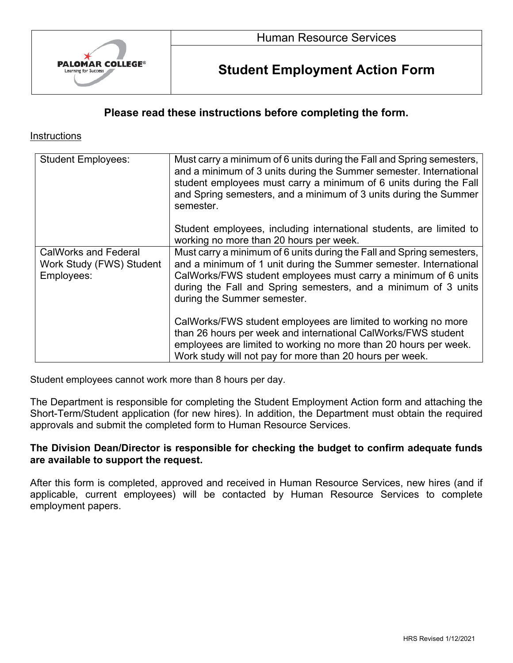

# **Student Employment Action Form**

## **Please read these instructions before completing the form.**

#### **Instructions**

| <b>Student Employees:</b>                                             | Must carry a minimum of 6 units during the Fall and Spring semesters,<br>and a minimum of 3 units during the Summer semester. International<br>student employees must carry a minimum of 6 units during the Fall<br>and Spring semesters, and a minimum of 3 units during the Summer<br>semester.             |
|-----------------------------------------------------------------------|---------------------------------------------------------------------------------------------------------------------------------------------------------------------------------------------------------------------------------------------------------------------------------------------------------------|
|                                                                       | Student employees, including international students, are limited to<br>working no more than 20 hours per week.                                                                                                                                                                                                |
| <b>CalWorks and Federal</b><br>Work Study (FWS) Student<br>Employees: | Must carry a minimum of 6 units during the Fall and Spring semesters,<br>and a minimum of 1 unit during the Summer semester. International<br>CalWorks/FWS student employees must carry a minimum of 6 units<br>during the Fall and Spring semesters, and a minimum of 3 units<br>during the Summer semester. |
|                                                                       | CalWorks/FWS student employees are limited to working no more<br>than 26 hours per week and international CalWorks/FWS student<br>employees are limited to working no more than 20 hours per week.<br>Work study will not pay for more than 20 hours per week.                                                |

Student employees cannot work more than 8 hours per day.

The Department is responsible for completing the Student Employment Action form and attaching the Short-Term/Student application (for new hires). In addition, the Department must obtain the required approvals and submit the completed form to Human Resource Services.

### **The Division Dean/Director is responsible for checking the budget to confirm adequate funds are available to support the request.**

After this form is completed, approved and received in Human Resource Services, new hires (and if applicable, current employees) will be contacted by Human Resource Services to complete employment papers.